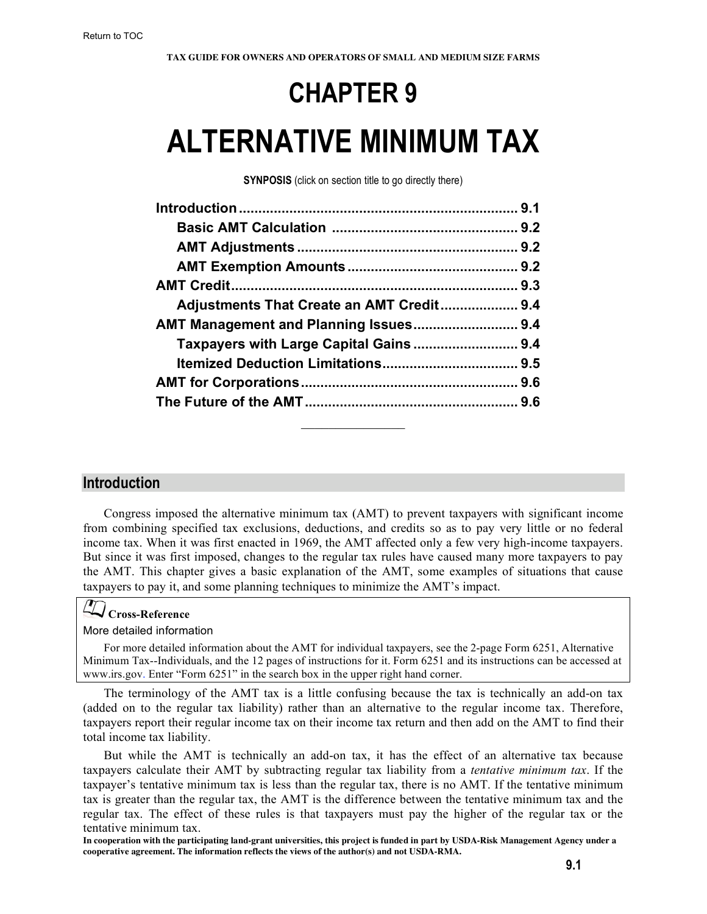## **CHAPTER 9**

# **ALTERNATIVE MINIMUM TAX**

**SYNPOSIS** (click on section title to go directly there)

| Adjustments That Create an AMT Credit 9.4 |  |
|-------------------------------------------|--|
|                                           |  |
|                                           |  |
|                                           |  |
|                                           |  |
|                                           |  |
|                                           |  |

### **Introduction**

Congress imposed the alternative minimum tax (AMT) to prevent taxpayers with significant income from combining specified tax exclusions, deductions, and credits so as to pay very little or no federal income tax. When it was first enacted in 1969, the AMT affected only a few very high-income taxpayers. But since it was first imposed, changes to the regular tax rules have caused many more taxpayers to pay the AMT. This chapter gives a basic explanation of the AMT, some examples of situations that cause taxpayers to pay it, and some planning techniques to minimize the AMT's impact.

### **Cross-Reference**

### More detailed information

For more detailed information about the AMT for individual taxpayers, see the 2-page [Form 6251, Alternative](http://www.irs.gov/pub/irs-pdf/f6251.pdf)  [Minimum Tax--Individuals](http://www.irs.gov/pub/irs-pdf/f6251.pdf), and the [12 pages of instructions for it.](http://www.irs.gov/pub/irs-pdf/i6251.pdf) Form 6251 and its instructions can be accessed at www.irs.gov. Enter "Form 6251" in the search box in the upper right hand corner.

The terminology of the AMT tax is a little confusing because the tax is technically an add-on tax (added on to the regular tax liability) rather than an alternative to the regular income tax. Therefore, taxpayers report their regular income tax on their income tax return and then add on the AMT to find their total income tax liability.

But while the AMT is technically an add-on tax, it has the effect of an alternative tax because taxpayers calculate their AMT by subtracting regular tax liability from a *tentative minimum tax*. If the taxpayer's tentative minimum tax is less than the regular tax, there is no AMT. If the tentative minimum tax is greater than the regular tax, the AMT is the difference between the tentative minimum tax and the regular tax. The effect of these rules is that taxpayers must pay the higher of the regular tax or the tentative minimum tax.

**In cooperation with the participating land-grant universities, this project is funded in part by USDA-Risk Management Agency under a cooperative agreement. The information reflects the views of the author(s) and not USDA-RMA.**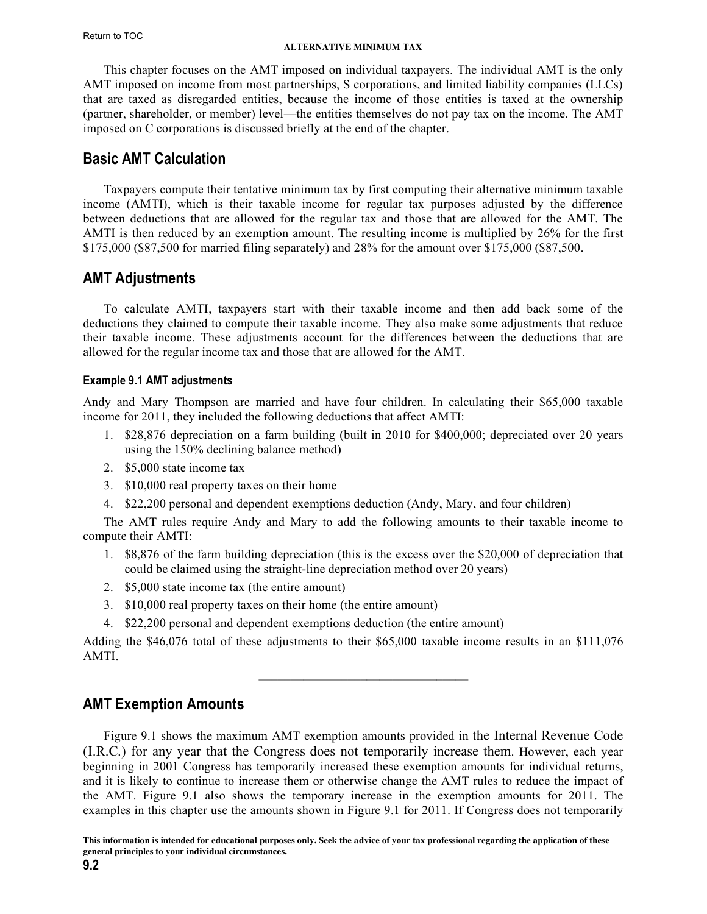#### **ALTERNATIVE MINIMUM TAX**

<span id="page-1-0"></span>This chapter focuses on the AMT imposed on individual taxpayers. The individual AMT is the only AMT imposed on income from most partnerships, S corporations, and limited liability companies (LLCs) that are taxed as disregarded entities, because the income of those entities is taxed at the ownership (partner, shareholder, or member) level—the entities themselves do not pay tax on the income. The AMT imposed on C corporations is discussed briefly at the end of the chapter.

### **Basic AMT Calculation**

Taxpayers compute their tentative minimum tax by first computing their alternative minimum taxable income (AMTI), which is their taxable income for regular tax purposes adjusted by the difference between deductions that are allowed for the regular tax and those that are allowed for the AMT. The AMTI is then reduced by an exemption amount. The resulting income is multiplied by 26% for the first \$175,000 (\$87,500 for married filing separately) and 28% for the amount over \$175,000 (\$87,500.

### **AMT Adjustments**

To calculate AMTI, taxpayers start with their taxable income and then add back some of the deductions they claimed to compute their taxable income. They also make some adjustments that reduce their taxable income. These adjustments account for the differences between the deductions that are allowed for the regular income tax and those that are allowed for the AMT.

### **Example 9.1 AMT adjustments**

Andy and Mary Thompson are married and have four children. In calculating their \$65,000 taxable income for 2011, they included the following deductions that affect AMTI:

- 1. \$28,876 depreciation on a farm building (built in 2010 for \$400,000; depreciated over 20 years using the 150% declining balance method)
- 2. \$5,000 state income tax
- 3. \$10,000 real property taxes on their home
- 4. \$22,200 personal and dependent exemptions deduction (Andy, Mary, and four children)

The AMT rules require Andy and Mary to add the following amounts to their taxable income to compute their AMTI:

- 1. \$8,876 of the farm building depreciation (this is the excess over the \$20,000 of depreciation that could be claimed using the straight-line depreciation method over 20 years)
- 2. \$5,000 state income tax (the entire amount)
- 3. \$10,000 real property taxes on their home (the entire amount)
- 4. \$22,200 personal and dependent exemptions deduction (the entire amount)

Adding the \$46,076 total of these adjustments to their \$65,000 taxable income results in an \$111,076 AMTI.

 $\mathcal{L}_\text{max}$  and  $\mathcal{L}_\text{max}$  and  $\mathcal{L}_\text{max}$  and  $\mathcal{L}_\text{max}$ 

### **AMT Exemption Amounts**

Figure 9.1 shows the maximum AMT exemption amounts provided in the Internal Revenue Code (I.R.C.) for any year that the Congress does not temporarily increase them. However, each year beginning in 2001 Congress has temporarily increased these exemption amounts for individual returns, and it is likely to continue to increase them or otherwise change the AMT rules to reduce the impact of the AMT. Figure 9.1 also shows the temporary increase in the exemption amounts for 2011. The examples in this chapter use the amounts shown in Figure 9.1 for 2011. If Congress does not temporarily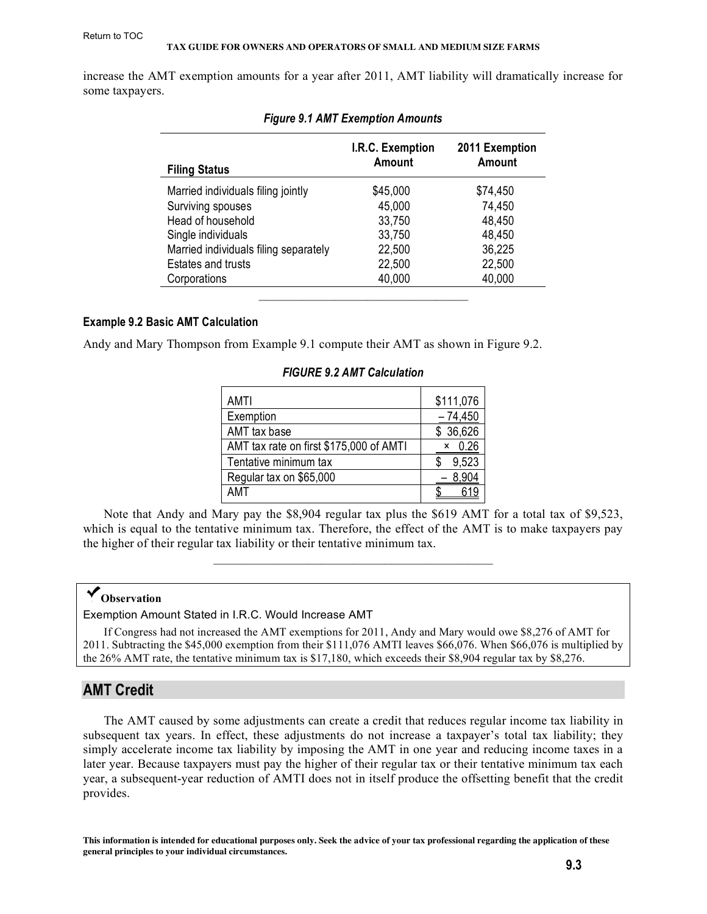<span id="page-2-0"></span>increase the AMT exemption amounts for a year after 2011, AMT liability will dramatically increase for some taxpayers.

| <b>Filing Status</b>                  | I.R.C. Exemption<br>Amount | 2011 Exemption<br><b>Amount</b> |
|---------------------------------------|----------------------------|---------------------------------|
| Married individuals filing jointly    | \$45,000                   | \$74,450                        |
| Surviving spouses                     | 45,000                     | 74,450                          |
| Head of household                     | 33,750                     | 48,450                          |
| Single individuals                    | 33,750                     | 48,450                          |
| Married individuals filing separately | 22,500                     | 36,225                          |
| <b>Estates and trusts</b>             | 22,500                     | 22,500                          |
| Corporations                          | 40,000                     | 40,000                          |
|                                       |                            |                                 |

|  |  | <b>Figure 9.1 AMT Exemption Amounts</b> |
|--|--|-----------------------------------------|
|  |  |                                         |

### **Example 9.2 Basic AMT Calculation**

Andy and Mary Thompson from Example 9.1 compute their AMT as shown in Figure 9.2.

| AMTI                                    | \$111,076 |
|-----------------------------------------|-----------|
| Exemption                               | $-74,450$ |
| AMT tax base                            | \$36,626  |
| AMT tax rate on first \$175,000 of AMTI | 0.26<br>x |
| Tentative minimum tax                   | 9,523     |
| Regular tax on \$65,000                 | 8,904     |
| AMT                                     |           |

### *FIGURE 9.2 AMT Calculation*

Note that Andy and Mary pay the \$8,904 regular tax plus the \$619 AMT for a total tax of \$9,523, which is equal to the tentative minimum tax. Therefore, the effect of the AMT is to make taxpayers pay the higher of their regular tax liability or their tentative minimum tax.

### **Observation**

Exemption Amount Stated in I.R.C. Would Increase AMT

If Congress had not increased the AMT exemptions for 2011, Andy and Mary would owe \$8,276 of AMT for 2011. Subtracting the \$45,000 exemption from their \$111,076 AMTI leaves \$66,076. When \$66,076 is multiplied by the 26% AMT rate, the tentative minimum tax is \$17,180, which exceeds their \$8,904 regular tax by \$8,276.

### **AMT Credit**

The AMT caused by some adjustments can create a credit that reduces regular income tax liability in subsequent tax years. In effect, these adjustments do not increase a taxpayer's total tax liability; they simply accelerate income tax liability by imposing the AMT in one year and reducing income taxes in a later year. Because taxpayers must pay the higher of their regular tax or their tentative minimum tax each year, a subsequent-year reduction of AMTI does not in itself produce the offsetting benefit that the credit provides.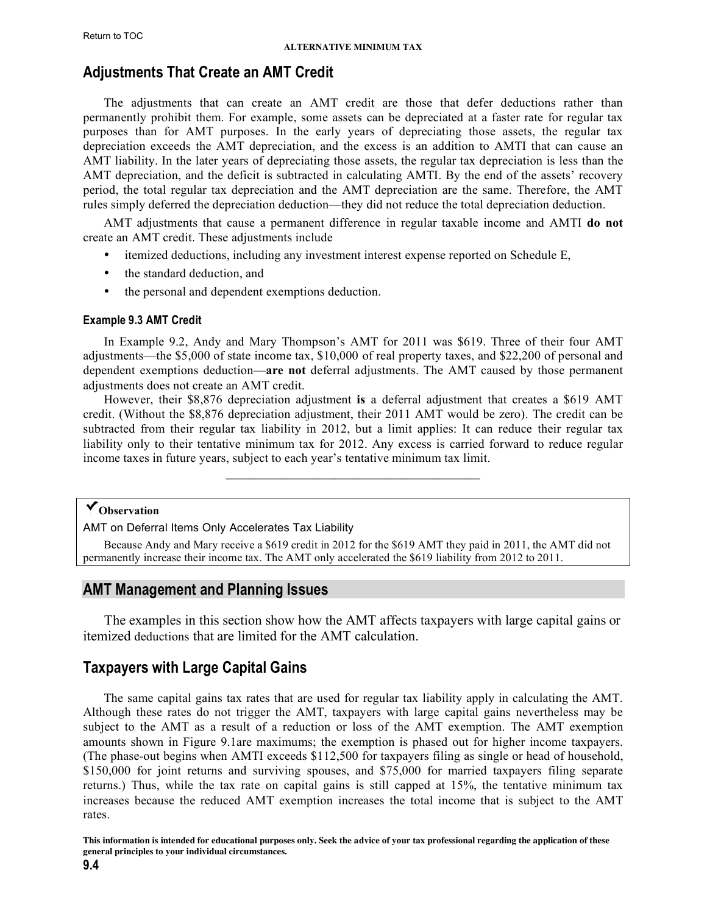### <span id="page-3-0"></span>**Adjustments That Create an AMT Credit**

The adjustments that can create an AMT credit are those that defer deductions rather than permanently prohibit them. For example, some assets can be depreciated at a faster rate for regular tax purposes than for AMT purposes. In the early years of depreciating those assets, the regular tax depreciation exceeds the AMT depreciation, and the excess is an addition to AMTI that can cause an AMT liability. In the later years of depreciating those assets, the regular tax depreciation is less than the AMT depreciation, and the deficit is subtracted in calculating AMTI. By the end of the assets' recovery period, the total regular tax depreciation and the AMT depreciation are the same. Therefore, the AMT rules simply deferred the depreciation deduction—they did not reduce the total depreciation deduction.

AMT adjustments that cause a permanent difference in regular taxable income and AMTI **do not** create an AMT credit. These adjustments include

- itemized deductions, including any investment interest expense reported on Schedule E,
- the standard deduction, and
- the personal and dependent exemptions deduction.

#### **Example 9.3 AMT Credit**

In Example 9.2, Andy and Mary Thompson's AMT for 2011 was \$619. Three of their four AMT adjustments—the \$5,000 of state income tax, \$10,000 of real property taxes, and \$22,200 of personal and dependent exemptions deduction—**are not** deferral adjustments. The AMT caused by those permanent adjustments does not create an AMT credit.

However, their \$8,876 depreciation adjustment **is** a deferral adjustment that creates a \$619 AMT credit. (Without the \$8,876 depreciation adjustment, their 2011 AMT would be zero). The credit can be subtracted from their regular tax liability in 2012, but a limit applies: It can reduce their regular tax liability only to their tentative minimum tax for 2012. Any excess is carried forward to reduce regular income taxes in future years, subject to each year's tentative minimum tax limit.

 $\mathcal{L}_\text{max} = \mathcal{L}_\text{max} = \mathcal{L}_\text{max} = \mathcal{L}_\text{max} = \mathcal{L}_\text{max}$ 

### **Observation**

AMT on Deferral Items Only Accelerates Tax Liability

Because Andy and Mary receive a \$619 credit in 2012 for the \$619 AMT they paid in 2011, the AMT did not permanently increase their income tax. The AMT only accelerated the \$619 liability from 2012 to 2011.

### **AMT Management and Planning Issues**

 The examples in this section show how the AMT affects taxpayers with large capital gains or itemized deductions that are limited for the AMT calculation.

### **Taxpayers with Large Capital Gains**

The same capital gains tax rates that are used for regular tax liability apply in calculating the AMT. Although these rates do not trigger the AMT, taxpayers with large capital gains nevertheless may be subject to the AMT as a result of a reduction or loss of the AMT exemption. The AMT exemption amounts shown in Figure 9.1are maximums; the exemption is phased out for higher income taxpayers. (The phase-out begins when AMTI exceeds \$112,500 for taxpayers filing as single or head of household, \$150,000 for joint returns and surviving spouses, and \$75,000 for married taxpayers filing separate returns.) Thus, while the tax rate on capital gains is still capped at 15%, the tentative minimum tax increases because the reduced AMT exemption increases the total income that is subject to the AMT rates.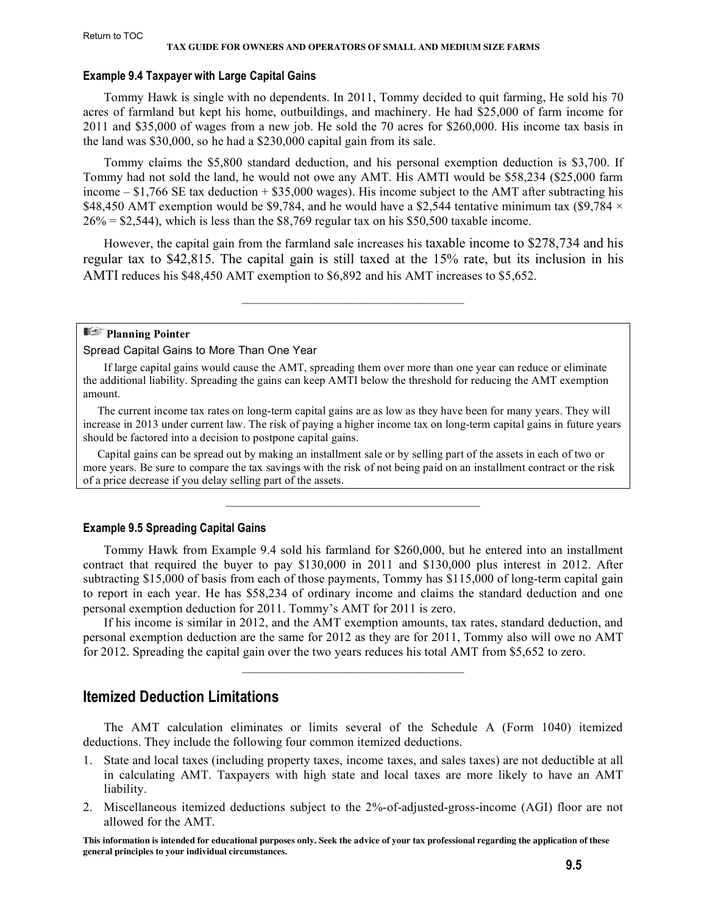### <span id="page-4-0"></span>**Example 9.4 Taxpayer with Large Capital Gains**

Tommy Hawk is single with no dependents. In 2011, Tommy decided to quit farming, He sold his 70 acres of farmland but kept his home, outbuildings, and machinery. He had \$25,000 of farm income for 2011 and \$35,000 of wages from a new job. He sold the 70 acres for \$260,000. His income tax basis in the land was \$30,000, so he had a \$230,000 capital gain from its sale.

Tommy claims the \$5,800 standard deduction, and his personal exemption deduction is \$3,700. If Tommy had not sold the land, he would not owe any AMT. His AMTI would be \$58,234 (\$25,000 farm income – \$1,766 SE tax deduction + \$35,000 wages). His income subject to the AMT after subtracting his \$48,450 AMT exemption would be \$9,784, and he would have a \$2,544 tentative minimum tax (\$9,784  $\times$  $26\% = $2,544$ , which is less than the \$8,769 regular tax on his \$50,500 taxable income.

However, the capital gain from the farmland sale increases his taxable income to \$278,734 and his regular tax to \$42,815. The capital gain is still taxed at the 15% rate, but its inclusion in his AMTI reduces his \$48,450 AMT exemption to \$6,892 and his AMT increases to \$5,652.

 $\mathcal{L}_\text{max}$  and the set of the set of the set of the set of the set of the set of the set of the set of the set of the set of the set of the set of the set of the set of the set of the set of the set of the set of the s

#### **Planning Pointer**

### Spread Capital Gains to More Than One Year

If large capital gains would cause the AMT, spreading them over more than one year can reduce or eliminate the additional liability. Spreading the gains can keep AMTI below the threshold for reducing the AMT exemption amount.

 The current income tax rates on long-term capital gains are as low as they have been for many years. They will increase in 2013 under current law. The risk of paying a higher income tax on long-term capital gains in future years should be factored into a decision to postpone capital gains.

 Capital gains can be spread out by making an installment sale or by selling part of the assets in each of two or more years. Be sure to compare the tax savings with the risk of not being paid on an installment contract or the risk of a price decrease if you delay selling part of the assets.

 $\mathcal{L}_\text{max} = \mathcal{L}_\text{max} = \mathcal{L}_\text{max} = \mathcal{L}_\text{max} = \mathcal{L}_\text{max}$ 

### **Example 9.5 Spreading Capital Gains**

Tommy Hawk from Example 9.4 sold his farmland for \$260,000, but he entered into an installment contract that required the buyer to pay \$130,000 in 2011 and \$130,000 plus interest in 2012. After subtracting \$15,000 of basis from each of those payments, Tommy has \$115,000 of long-term capital gain to report in each year. He has \$58,234 of ordinary income and claims the standard deduction and one personal exemption deduction for 2011. Tommy's AMT for 2011 is zero.

If his income is similar in 2012, and the AMT exemption amounts, tax rates, standard deduction, and personal exemption deduction are the same for 2012 as they are for 2011, Tommy also will owe no AMT for 2012. Spreading the capital gain over the two years reduces his total AMT from \$5,652 to zero.

\_\_\_\_\_\_\_\_\_\_\_\_\_\_\_\_\_\_\_\_\_\_\_\_\_\_\_\_\_\_\_\_\_\_\_

### **Itemized Deduction Limitations**

The AMT calculation eliminates or limits several of the Schedule A (Form 1040) itemized deductions. They include the following four common itemized deductions.

- 1. State and local taxes (including property taxes, income taxes, and sales taxes) are not deductible at all in calculating AMT. Taxpayers with high state and local taxes are more likely to have an AMT liability.
- 2. Miscellaneous itemized deductions subject to the 2%-of-adjusted-gross-income (AGI) floor are not allowed for the AMT.

**This information is intended for educational purposes only. Seek the advice of your tax professional regarding the application of these general principles to your individual circumstances.**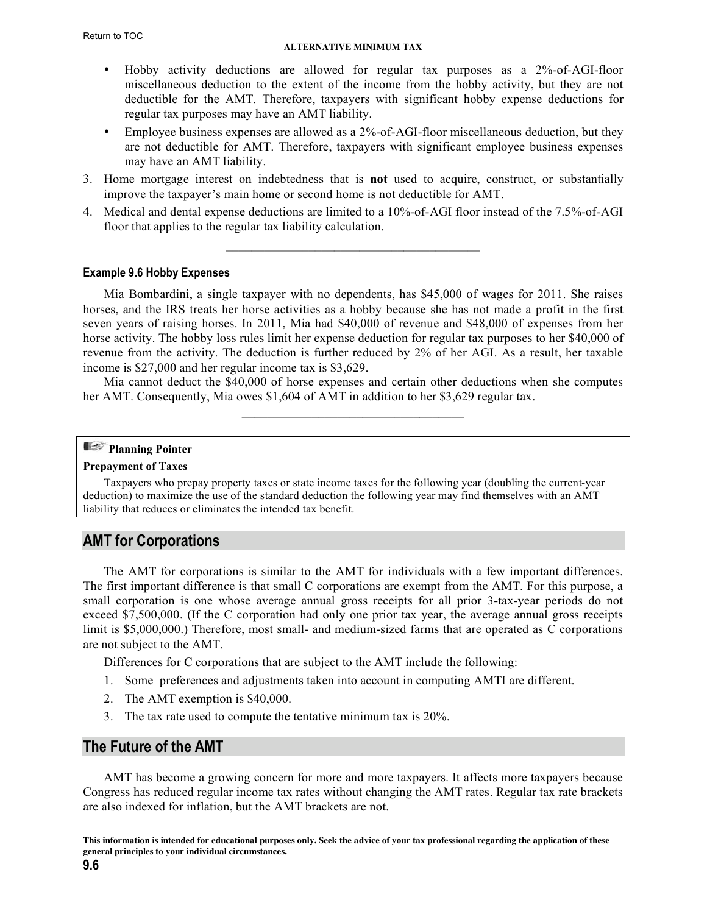#### **ALTERNATIVE MINIMUM TAX**

- <span id="page-5-0"></span>• Hobby activity deductions are allowed for regular tax purposes as a 2%-of-AGI-floor miscellaneous deduction to the extent of the income from the hobby activity, but they are not deductible for the AMT. Therefore, taxpayers with significant hobby expense deductions for regular tax purposes may have an AMT liability.
- Employee business expenses are allowed as a 2%-of-AGI-floor miscellaneous deduction, but they are not deductible for AMT. Therefore, taxpayers with significant employee business expenses may have an AMT liability.
- 3. Home mortgage interest on indebtedness that is **not** used to acquire, construct, or substantially improve the taxpayer's main home or second home is not deductible for AMT.
- 4. Medical and dental expense deductions are limited to a 10%-of-AGI floor instead of the 7.5%-of-AGI floor that applies to the regular tax liability calculation.

 $\mathcal{L}_\text{max} = \mathcal{L}_\text{max} = \mathcal{L}_\text{max} = \mathcal{L}_\text{max} = \mathcal{L}_\text{max}$ 

### **Example 9.6 Hobby Expenses**

Mia Bombardini, a single taxpayer with no dependents, has \$45,000 of wages for 2011. She raises horses, and the IRS treats her horse activities as a hobby because she has not made a profit in the first seven years of raising horses. In 2011, Mia had \$40,000 of revenue and \$48,000 of expenses from her horse activity. The hobby loss rules limit her expense deduction for regular tax purposes to her \$40,000 of revenue from the activity. The deduction is further reduced by 2% of her AGI. As a result, her taxable income is \$27,000 and her regular income tax is \$3,629.

Mia cannot deduct the \$40,000 of horse expenses and certain other deductions when she computes her AMT. Consequently, Mia owes \$1,604 of AMT in addition to her \$3,629 regular tax.  $\mathcal{L}_\text{max}$  and the set of the set of the set of the set of the set of the set of the set of the set of the set of the set of the set of the set of the set of the set of the set of the set of the set of the set of the s

### **Planning Pointer**

### **Prepayment of Taxes**

Taxpayers who prepay property taxes or state income taxes for the following year (doubling the current-year deduction) to maximize the use of the standard deduction the following year may find themselves with an AMT liability that reduces or eliminates the intended tax benefit.

### **AMT for Corporations**

The AMT for corporations is similar to the AMT for individuals with a few important differences. The first important difference is that small C corporations are exempt from the AMT. For this purpose, a small corporation is one whose average annual gross receipts for all prior 3-tax-year periods do not exceed \$7,500,000. (If the C corporation had only one prior tax year, the average annual gross receipts limit is \$5,000,000.) Therefore, most small- and medium-sized farms that are operated as C corporations are not subject to the AMT.

Differences for C corporations that are subject to the AMT include the following:

- 1. Some preferences and adjustments taken into account in computing AMTI are different.
- 2. The AMT exemption is \$40,000.
- 3. The tax rate used to compute the tentative minimum tax is 20%.

### **The Future of the AMT**

AMT has become a growing concern for more and more taxpayers. It affects more taxpayers because Congress has reduced regular income tax rates without changing the AMT rates. Regular tax rate brackets are also indexed for inflation, but the AMT brackets are not.